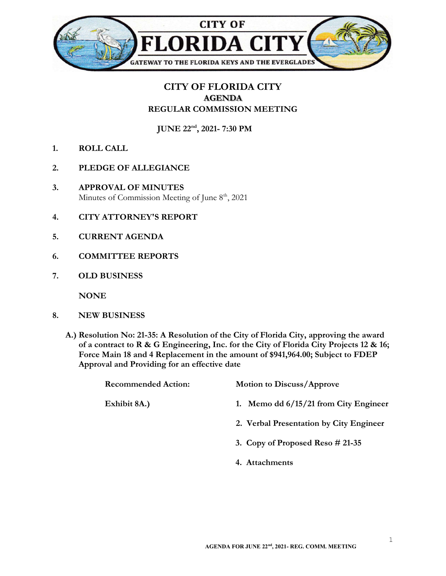

## CITY OF FLORIDA CITY AGENDA REGULAR COMMISSION MEETING

JUNE 22nd, 2021- 7:30 PM

- 1. ROLL CALL
- 2. PLEDGE OF ALLEGIANCE
- 3. APPROVAL OF MINUTES Minutes of Commission Meeting of June  $8<sup>th</sup>$ , 2021
- 4. CITY ATTORNEY'S REPORT
- 5. CURRENT AGENDA
- 6. COMMITTEE REPORTS
- 7. OLD BUSINESS

**NONE** 

- 8. NEW BUSINESS
	- A.) Resolution No: 21-35: A Resolution of the City of Florida City, approving the award of a contract to R & G Engineering, Inc. for the City of Florida City Projects 12 & 16; Force Main 18 and 4 Replacement in the amount of \$941,964.00; Subject to FDEP Approval and Providing for an effective date

| <b>Recommended Action:</b> | <b>Motion to Discuss/Approve</b>        |
|----------------------------|-----------------------------------------|
| Exhibit 8A.)               | 1. Memo dd $6/15/21$ from City Engineer |
|                            | 2. Verbal Presentation by City Engineer |
|                            | 3. Copy of Proposed Reso $\#$ 21-35     |
|                            | 4. Attachments                          |